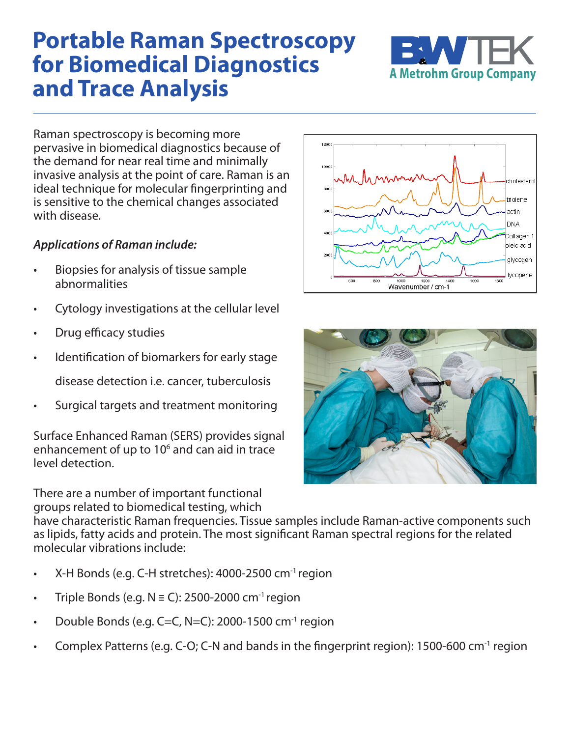## **Portable Raman Spectroscopy for Biomedical Diagnostics and Trace Analysis**



Raman spectroscopy is becoming more pervasive in biomedical diagnostics because of the demand for near real time and minimally invasive analysis at the point of care. Raman is an ideal technique for molecular fingerprinting and is sensitive to the chemical changes associated with disease.

## *Applications of Raman include:*

- Biopsies for analysis of tissue sample abnormalities
- Cytology investigations at the cellular level
- Drug efficacy studies
- Identification of biomarkers for early stage

disease detection i.e. cancer, tuberculosis

• Surgical targets and treatment monitoring

Surface Enhanced Raman (SERS) provides signal enhancement of up to  $10<sup>6</sup>$  and can aid in trace level detection.

There are a number of important functional groups related to biomedical testing, which

1200 1000 holesterol 800 triolene actin DNA Collagen 1 oleic acid glycogen lycopene Wavenumber / cm-1



have characteristic Raman frequencies. Tissue samples include Raman-active components such as lipids, fatty acids and protein. The most significant Raman spectral regions for the related molecular vibrations include:

- X-H Bonds (e.g. C-H stretches): 4000-2500 cm-1 region
- Triple Bonds (e.g.  $N \equiv C$ ): 2500-2000 cm<sup>-1</sup> region
- Double Bonds (e.g. C=C, N=C): 2000-1500  $cm^{-1}$  region
- Complex Patterns (e.g. C-O; C-N and bands in the fingerprint region): 1500-600 cm-1 region